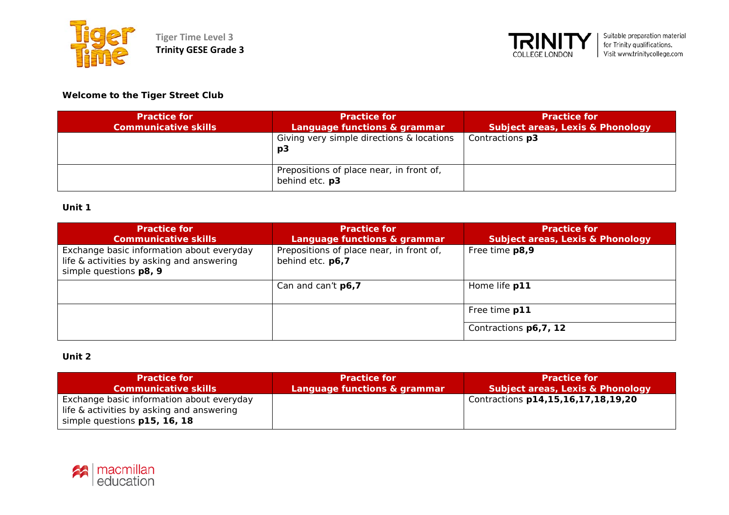



# **Welcome to the Tiger Street Club**

| <b>Practice for</b><br><b>Communicative skills</b> | <b>Practice for</b><br>Language functions & grammar        | <b>Practice for</b><br><b>Subject areas, Lexis &amp; Phonology</b> |
|----------------------------------------------------|------------------------------------------------------------|--------------------------------------------------------------------|
|                                                    | Giving very simple directions & locations<br>p3            | Contractions p3                                                    |
|                                                    | Prepositions of place near, in front of,<br>behind etc. p3 |                                                                    |

### **Unit 1**

| <b>Practice for</b><br><b>Communicative skills</b>                                                               | <b>Practice for</b><br>Language functions & grammar          | <b>Practice for</b><br><b>Subject areas, Lexis &amp; Phonology</b> |
|------------------------------------------------------------------------------------------------------------------|--------------------------------------------------------------|--------------------------------------------------------------------|
| Exchange basic information about everyday<br>life & activities by asking and answering<br>simple questions p8, 9 | Prepositions of place near, in front of,<br>behind etc. p6,7 | Free time p8,9                                                     |
|                                                                                                                  | Can and can't $p6.7$                                         | Home life p11                                                      |
|                                                                                                                  |                                                              | Free time p11                                                      |
|                                                                                                                  |                                                              | Contractions p6, 7, 12                                             |

# **Unit 2**

| <b>Practice for</b>                                                                                                    | <b>Practice for</b>          | <b>Practice for</b>                         |
|------------------------------------------------------------------------------------------------------------------------|------------------------------|---------------------------------------------|
| <b>Communicative skills</b>                                                                                            | Language functions & grammar | <b>Subject areas, Lexis &amp; Phonology</b> |
| Exchange basic information about everyday<br>life & activities by asking and answering<br>simple questions p15, 16, 18 |                              | Contractions p14,15,16,17,18,19,20          |

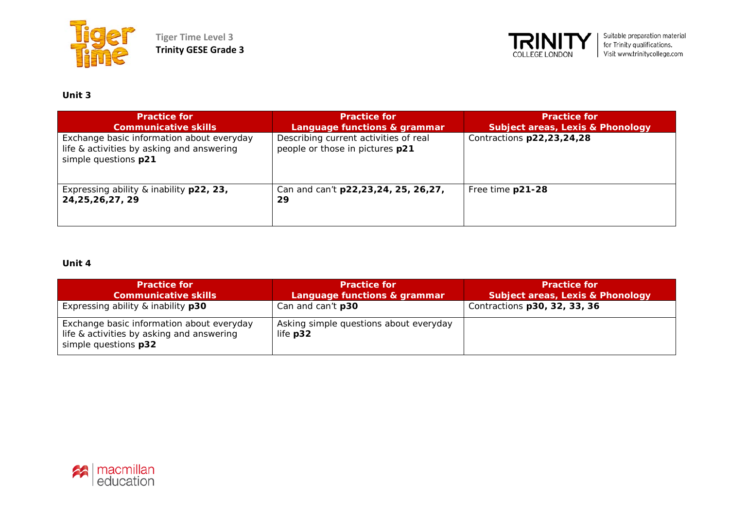

**Tiger Time Level 3 Trinity GESE Grade 3**



# **Unit 3**

| <b>Practice for</b><br><b>Communicative skills</b>                                                             | <b>Practice for</b><br>Language functions & grammar                      | <b>Practice for</b><br><b>Subject areas, Lexis &amp; Phonology</b> |
|----------------------------------------------------------------------------------------------------------------|--------------------------------------------------------------------------|--------------------------------------------------------------------|
| Exchange basic information about everyday<br>life & activities by asking and answering<br>simple questions p21 | Describing current activities of real<br>people or those in pictures p21 | Contractions p22,23,24,28                                          |
| Expressing ability & inability p22, 23,<br>24, 25, 26, 27, 29                                                  | Can and can't p22,23,24, 25, 26,27,<br>29                                | Free time p21-28                                                   |

### **Unit 4**

| <b>Practice for</b><br>Communicative skills                                                                    | <b>Practice for</b><br>Language functions & grammar  | <b>Practice for</b><br><b>Subject areas, Lexis &amp; Phonology</b> |
|----------------------------------------------------------------------------------------------------------------|------------------------------------------------------|--------------------------------------------------------------------|
| Expressing ability & inability p30                                                                             | Can and can't p30                                    | Contractions p30, 32, 33, 36                                       |
| Exchange basic information about everyday<br>life & activities by asking and answering<br>simple questions p32 | Asking simple questions about everyday<br>life $p32$ |                                                                    |